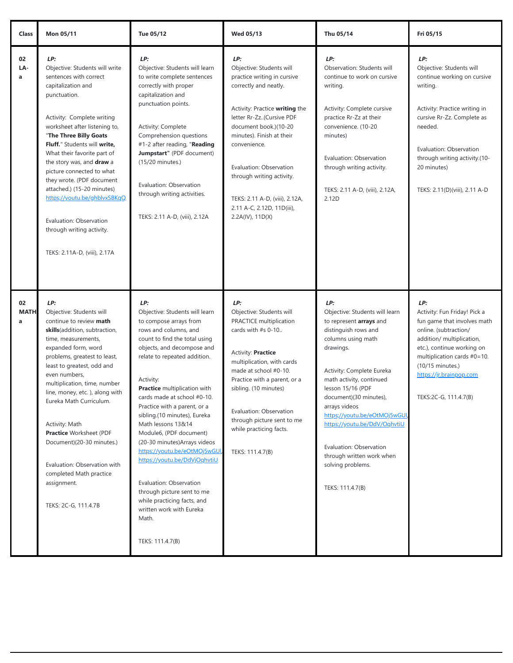| Class                  | Mon 05/11                                                                                                                                                                                                                                                                                                                                                                                                                                                                                                  | Tue 05/12                                                                                                                                                                                                                                                                                                                                                                                                                                                                                                                                                                                                                              | Wed 05/13                                                                                                                                                                                                                                                                                                                                                               | Thu 05/14                                                                                                                                                                                                                                                                                                                                                                                                             | Fri 05/15                                                                                                                                                                                                                                                        |
|------------------------|------------------------------------------------------------------------------------------------------------------------------------------------------------------------------------------------------------------------------------------------------------------------------------------------------------------------------------------------------------------------------------------------------------------------------------------------------------------------------------------------------------|----------------------------------------------------------------------------------------------------------------------------------------------------------------------------------------------------------------------------------------------------------------------------------------------------------------------------------------------------------------------------------------------------------------------------------------------------------------------------------------------------------------------------------------------------------------------------------------------------------------------------------------|-------------------------------------------------------------------------------------------------------------------------------------------------------------------------------------------------------------------------------------------------------------------------------------------------------------------------------------------------------------------------|-----------------------------------------------------------------------------------------------------------------------------------------------------------------------------------------------------------------------------------------------------------------------------------------------------------------------------------------------------------------------------------------------------------------------|------------------------------------------------------------------------------------------------------------------------------------------------------------------------------------------------------------------------------------------------------------------|
| 02<br>LA-<br>a         | LP:<br>Objective: Students will write<br>sentences with correct<br>capitalization and<br>punctuation.<br>Activity: Complete writing<br>worksheet after listening to,<br>"The Three Billy Goats<br>Fluff." Students will write.<br>What their favorite part of<br>the story was, and draw a<br>picture connected to what<br>they wrote. (PDF document<br>attached.) (15-20 minutes)<br>https;//youtu.be/ghblvxSBKgQ<br>Evaluation: Observation<br>through writing activity.<br>TEKS: 2.11A-D, (viii), 2.17A | LP:<br>Objective: Students will learn<br>to write complete sentences<br>correctly with proper<br>capitalization and<br>punctuation points.<br>Activity: Complete<br>Comprehension questions<br>#1-2 after reading, "Reading<br>Jumpstart" (PDF document)<br>(15/20 minutes.)<br>Evaluation: Observation<br>through writing activities.<br>TEKS: 2.11 A-D, (viii), 2.12A                                                                                                                                                                                                                                                                | LP:<br>Objective: Students will<br>practice writing in cursive<br>correctly and neatly.<br>Activity: Practice writing the<br>letter Rr-Zz(Cursive PDF<br>document book.)(10-20<br>minutes). Finish at their<br>convenience.<br>Evaluation: Observation<br>through writing activity.<br>TEKS: 2.11 A-D, (viii), 2.12A,<br>2.11 A-C, 2.12D, 11D(iii),<br>2.2A(IV), 11D(X) | LP:<br>Observation: Students will<br>continue to work on cursive<br>writing.<br>Activity: Complete cursive<br>practice Rr-Zz at their<br>convenience. (10-20<br>minutes)<br>Evaluation: Observation<br>through writing activity.<br>TEKS: 2.11 A-D, (viii), 2.12A,<br>2.12D                                                                                                                                           | LP:<br>Objective: Students will<br>continue working on cursive<br>writing.<br>Activity: Practice writing in<br>cursive Rr-Zz. Complete as<br>needed.<br>Evaluation: Observation<br>through writing activity.(10-<br>20 minutes)<br>TEKS: 2.11(D)(viii), 2.11 A-D |
| 02<br><b>MATH</b><br>a | LP:<br>Objective: Students will<br>continue to review math<br>skills(addition, subtraction,<br>time, measurements,<br>expanded form, word<br>problems, greatest to least,<br>least to greatest, odd and<br>even numbers,<br>multiplication, time, number<br>line, money, etc.), along with<br>Eureka Math Curriculum.<br>Activity: Math<br><b>Practice Worksheet (PDF</b><br>Document)(20-30 minutes.)<br>Evaluation: Observation with<br>completed Math practice<br>assignment.<br>TEKS: 2C-G, 111.4.7B   | LP:<br>Objective: Students will learn<br>to compose arrays from<br>rows and columns, and<br>count to find the total using<br>objects, and decompose and<br>relate to repeated addition.<br>Activity:<br>Practice multiplication with<br>cards made at school #0-10.<br>Practice with a parent, or a<br>sibling.(10 minutes), Eureka<br>Math lessons 13&14<br>Module6, (PDF document)<br>(20-30 minutes) Arrays videos<br>https://youtu.be/eOtMOj5wGUI<br>https://youtu.be/DdVjOqhvtiU<br>Evaluation: Observation<br>through picture sent to me<br>while practicing facts, and<br>written work with Eureka<br>Math.<br>TEKS: 111.4.7(B) | LP:<br>Objective: Students will<br>PRACTICE multiplication<br>cards with #s 0-10<br>Activity: Practice<br>multiplication, with cards<br>made at school #0-10.<br>Practice with a parent, or a<br>sibling. (10 minutes)<br>Evaluation: Observation<br>through picture sent to me<br>while practicing facts.<br>TEKS: 111.4.7(B)                                          | LP:<br>Objective: Students will learn<br>to represent arrays and<br>distinguish rows and<br>columns using math<br>drawings.<br>Activity: Complete Eureka<br>math activity, continued<br>lesson 15/16 (PDF<br>document)(30 minutes),<br>arrays videos<br>https;//youtu.be/eOtMOj5wGUI<br>https://youtu.be/DdV/OqhvtiU<br>Evaluation: Observation<br>through written work when<br>solving problems.<br>TEKS: 111.4.7(B) | LP:<br>Activity: Fun Friday! Pick a<br>fun game that involves math<br>online. (subtraction/<br>addition/ multiplication,<br>etc.), continue working on<br>multiplication cards #0=10.<br>(10/15 minutes.)<br>https://jr.brainpop.com<br>TEKS:2C-G, 111.4.7(B)    |